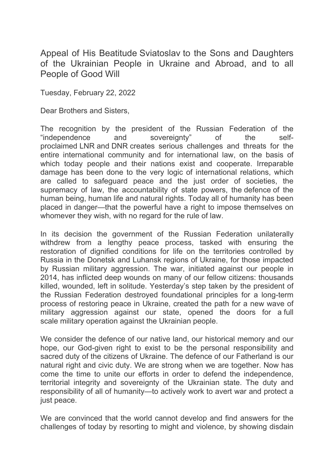Appeal of His Beatitude Sviatoslav to the Sons and Daughters of the Ukrainian People in Ukraine and Abroad, and to all People of Good Will

Tuesday, February 22, 2022

Dear Brothers and Sisters,

The recognition by the president of the Russian Federation of the "independence and sovereignty" of the selfproclaimed LNR and DNR creates serious challenges and threats for the entire international community and for international law, on the basis of which today people and their nations exist and cooperate. Irreparable damage has been done to the very logic of international relations, which are called to safeguard peace and the just order of societies, the supremacy of law, the accountability of state powers, the defence of the human being, human life and natural rights. Today all of humanity has been placed in danger—that the powerful have a right to impose themselves on whomever they wish, with no regard for the rule of law.

In its decision the government of the Russian Federation unilaterally withdrew from a lengthy peace process, tasked with ensuring the restoration of dignified conditions for life on the territories controlled by Russia in the Donetsk and Luhansk regions of Ukraine, for those impacted by Russian military aggression. The war, initiated against our people in 2014, has inflicted deep wounds on many of our fellow citizens: thousands killed, wounded, left in solitude. Yesterday's step taken by the president of the Russian Federation destroyed foundational principles for a long-term process of restoring peace in Ukraine, created the path for a new wave of military aggression against our state, opened the doors for a full scale military operation against the Ukrainian people.

We consider the defence of our native land, our historical memory and our hope, our God-given right to exist to be the personal responsibility and sacred duty of the citizens of Ukraine. The defence of our Fatherland is our natural right and civic duty. We are strong when we are together. Now has come the time to unite our efforts in order to defend the independence, territorial integrity and sovereignty of the Ukrainian state. The duty and responsibility of all of humanity—to actively work to avert war and protect a just peace.

We are convinced that the world cannot develop and find answers for the challenges of today by resorting to might and violence, by showing disdain